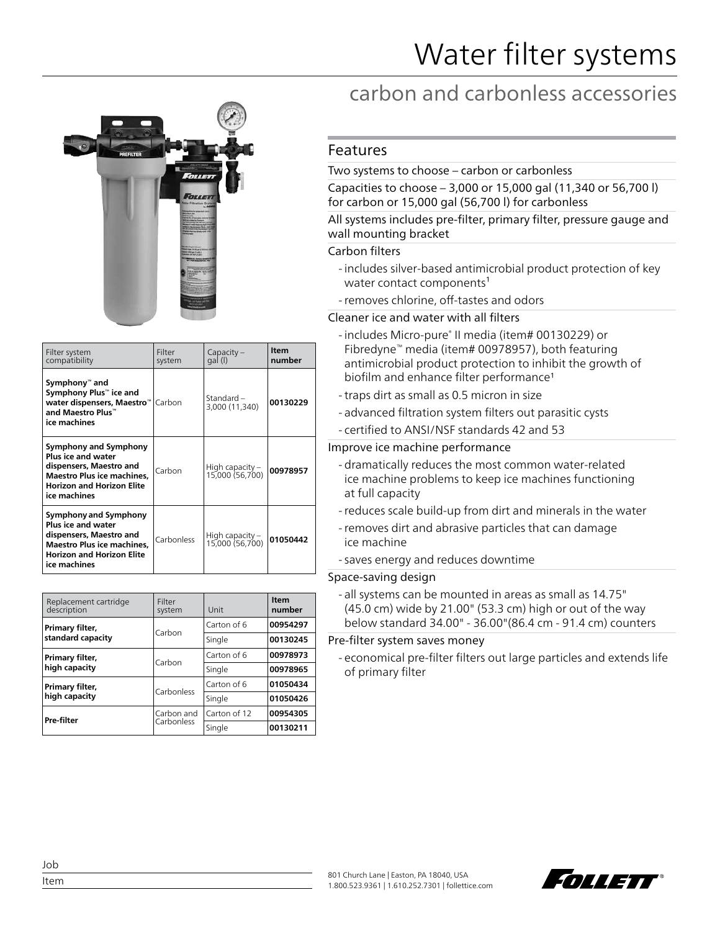

| Filter system<br>compatibility                                                                                                                                         | Filter<br>system | $Capacity -$<br>gal (l)              | <b>Item</b><br>number |
|------------------------------------------------------------------------------------------------------------------------------------------------------------------------|------------------|--------------------------------------|-----------------------|
| Symphony™ and<br>Symphony Plus™ ice and<br>water dispensers, Maestro™<br>and Maestro Plus™<br>ice machines                                                             | Carbon           | Standard –<br>3,000 (11,340)         | 00130229              |
| Symphony and Symphony<br><b>Plus ice and water</b><br>dispensers, Maestro and<br>Maestro Plus ice machines.<br><b>Horizon and Horizon Elite</b><br>ice machines        | Carbon           | High capacity $-$<br>15,000 (56,700) | 00978957              |
| <b>Symphony and Symphony</b><br><b>Plus ice and water</b><br>dispensers, Maestro and<br>Maestro Plus ice machines,<br><b>Horizon and Horizon Elite</b><br>ice machines | Carbonless       | High capacity –<br>15,000 (56,700)   | 01050442              |

| Replacement cartridge<br>description | Filter<br>system         | Unit         | Item<br>number |
|--------------------------------------|--------------------------|--------------|----------------|
| Primary filter,<br>standard capacity | Carbon                   | Carton of 6  | 00954297       |
|                                      |                          | Single       | 00130245       |
| Primary filter,<br>high capacity     | Carbon                   | Carton of 6  | 00978973       |
|                                      |                          | Single       | 00978965       |
| Primary filter,                      | Carbonless               | Carton of 6  | 01050434       |
| high capacity                        |                          | Single       | 01050426       |
| Pre-filter                           | Carbon and<br>Carbonless | Carton of 12 | 00954305       |
|                                      |                          | Sinale       | 00130211       |

# carbon and carbonless accessories

# Features

### Two systems to choose – carbon or carbonless

Capacities to choose – 3,000 or 15,000 gal (11,340 or 56,700 l) for carbon or 15,000 gal (56,700 l) for carbonless

#### All systems includes pre-filter, primary filter, pressure gauge and wall mounting bracket

#### Carbon filters

- includes silver-based antimicrobial product protection of key water contact components<sup>1</sup>
- -removes chlorine, off-tastes and odors

Cleaner ice and water with all filters

- includes Micro-pure® II media (item# 00130229) or Fibredyne™ media (item# 00978957), both featuring antimicrobial product protection to inhibit the growth of biofilm and enhance filter performance1
- -traps dirt as small as 0.5 micron in size
- advanced filtration system filters out parasitic cysts - certified to ANSI/NSF standards 42 and 53

## Improve ice machine performance

- dramatically reduces the most common water-related ice machine problems to keep ice machines functioning at full capacity
- -reduces scale build-up from dirt and minerals in the water
- -removes dirt and abrasive particles that can damage ice machine
- saves energy and reduces downtime

#### Space-saving design

- all systems can be mounted in areas as small as 14.75" (45.0 cm) wide by 21.00" (53.3 cm) high or out of the way below standard 34.00" - 36.00"(86.4 cm - 91.4 cm) counters

Pre-filter system saves money

- economical pre-filter filters out large particles and extends life of primary filter